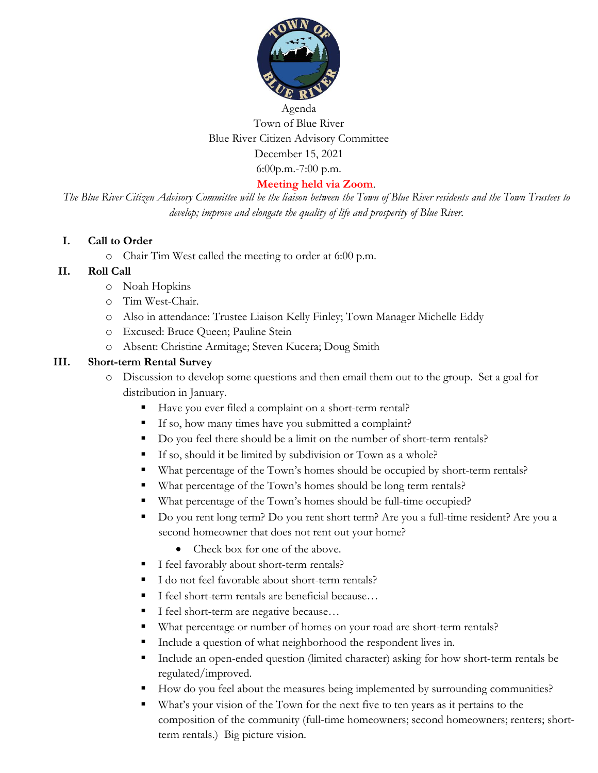

# Agenda Town of Blue River Blue River Citizen Advisory Committee December 15, 2021 6:00p.m.-7:00 p.m.

#### **Meeting held via Zoom**.

*The Blue River Citizen Advisory Committee will be the liaison between the Town of Blue River residents and the Town Trustees to develop; improve and elongate the quality of life and prosperity of Blue River.*

#### **I. Call to Order**

o Chair Tim West called the meeting to order at 6:00 p.m.

#### **II. Roll Call**

- o Noah Hopkins
- o Tim West-Chair.
- o Also in attendance: Trustee Liaison Kelly Finley; Town Manager Michelle Eddy
- o Excused: Bruce Queen; Pauline Stein
- o Absent: Christine Armitage; Steven Kucera; Doug Smith

#### **III. Short-term Rental Survey**

- o Discussion to develop some questions and then email them out to the group. Set a goal for distribution in January.
	- Have you ever filed a complaint on a short-term rental?
	- If so, how many times have you submitted a complaint?
	- Do you feel there should be a limit on the number of short-term rentals?
	- If so, should it be limited by subdivision or Town as a whole?
	- What percentage of the Town's homes should be occupied by short-term rentals?
	- What percentage of the Town's homes should be long term rentals?
	- What percentage of the Town's homes should be full-time occupied?
	- Do you rent long term? Do you rent short term? Are you a full-time resident? Are you a second homeowner that does not rent out your home?
		- Check box for one of the above.
	- I feel favorably about short-term rentals?
	- I do not feel favorable about short-term rentals?
	- I feel short-term rentals are beneficial because...
	- I feel short-term are negative because...
	- What percentage or number of homes on your road are short-term rentals?
	- Include a question of what neighborhood the respondent lives in.
	- Include an open-ended question (limited character) asking for how short-term rentals be regulated/improved.
	- How do you feel about the measures being implemented by surrounding communities?
	- What's your vision of the Town for the next five to ten years as it pertains to the composition of the community (full-time homeowners; second homeowners; renters; shortterm rentals.) Big picture vision.